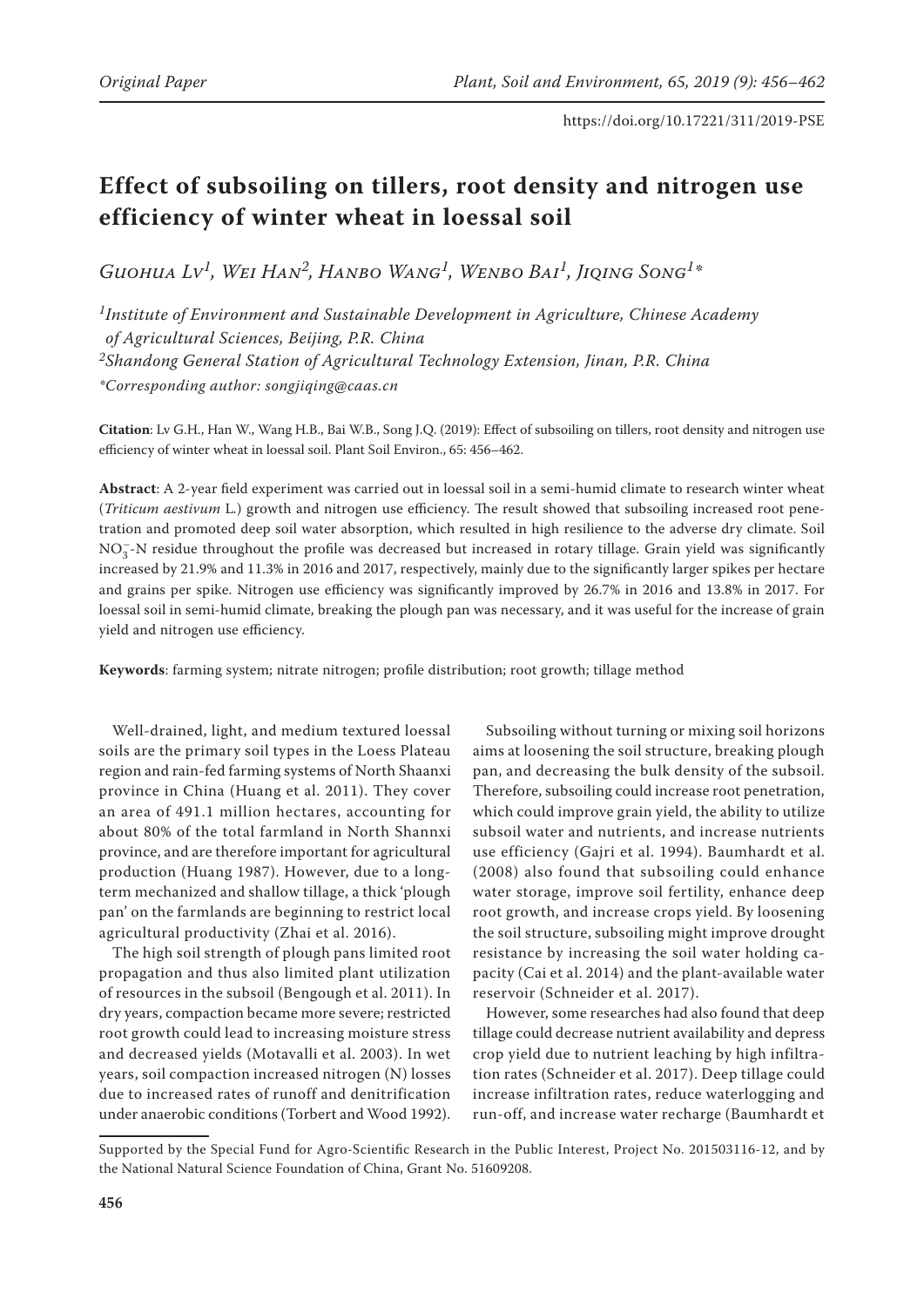# **Effect of subsoiling on tillers, root density and nitrogen use efficiency of winter wheat in loessal soil**

*Guohua Lv1, Wei Han2, Hanbo Wang1, Wenbo Bai1, Jiqing Song1\**

*1Institute of Environment and Sustainable Development in Agriculture, Chinese Academy of Agricultural Sciences, Beijing, P.R. China 2Shandong General Station of Agricultural Technology Extension, Jinan, P.R. China \*Corresponding author: songjiqing@caas.cn*

**Citation**: Lv G.H., Han W., Wang H.B., Bai W.B., Song J.Q. (2019): Effect of subsoiling on tillers, root density and nitrogen use efficiency of winter wheat in loessal soil. Plant Soil Environ., 65: 456–462.

**Abstract**: A 2-year field experiment was carried out in loessal soil in a semi-humid climate to research winter wheat (*Triticum aestivum* L*.*) growth and nitrogen use efficiency. The result showed that subsoiling increased root penetration and promoted deep soil water absorption, which resulted in high resilience to the adverse dry climate. Soil  $NO_3^-$ -N residue throughout the profile was decreased but increased in rotary tillage. Grain yield was significantly increased by 21.9% and 11.3% in 2016 and 2017, respectively, mainly due to the significantly larger spikes per hectare and grains per spike. Nitrogen use efficiency was significantly improved by 26.7% in 2016 and 13.8% in 2017. For loessal soil in semi-humid climate, breaking the plough pan was necessary, and it was useful for the increase of grain yield and nitrogen use efficiency.

**Keywords**: farming system; nitrate nitrogen; profile distribution; root growth; tillage method

Well-drained, light, and medium textured loessal soils are the primary soil types in the Loess Plateau region and rain-fed farming systems of North Shaanxi province in China (Huang et al. 2011). They cover an area of 491.1 million hectares, accounting for about 80% of the total farmland in North Shannxi province, and are therefore important for agricultural production (Huang 1987). However, due to a longterm mechanized and shallow tillage, a thick 'plough pan' on the farmlands are beginning to restrict local agricultural productivity (Zhai et al. 2016).

The high soil strength of plough pans limited root propagation and thus also limited plant utilization of resources in the subsoil (Bengough et al. 2011). In dry years, compaction became more severe; restricted root growth could lead to increasing moisture stress and decreased yields (Motavalli et al. 2003). In wet years, soil compaction increased nitrogen (N) losses due to increased rates of runoff and denitrification under anaerobic conditions (Torbert and Wood 1992).

Subsoiling without turning or mixing soil horizons aims at loosening the soil structure, breaking plough pan, and decreasing the bulk density of the subsoil. Therefore, subsoiling could increase root penetration, which could improve grain yield, the ability to utilize subsoil water and nutrients, and increase nutrients use efficiency (Gajri et al. 1994). Baumhardt et al. (2008) also found that subsoiling could enhance water storage, improve soil fertility, enhance deep root growth, and increase crops yield. By loosening the soil structure, subsoiling might improve drought resistance by increasing the soil water holding capacity (Cai et al. 2014) and the plant-available water reservoir (Schneider et al. 2017).

However, some researches had also found that deep tillage could decrease nutrient availability and depress crop yield due to nutrient leaching by high infiltration rates (Schneider et al. 2017). Deep tillage could increase infiltration rates, reduce waterlogging and run-off, and increase water recharge (Baumhardt et

Supported by the Special Fund for Agro-Scientific Research in the Public Interest, Project No. 201503116-12, and by the National Natural Science Foundation of China, Grant No. 51609208.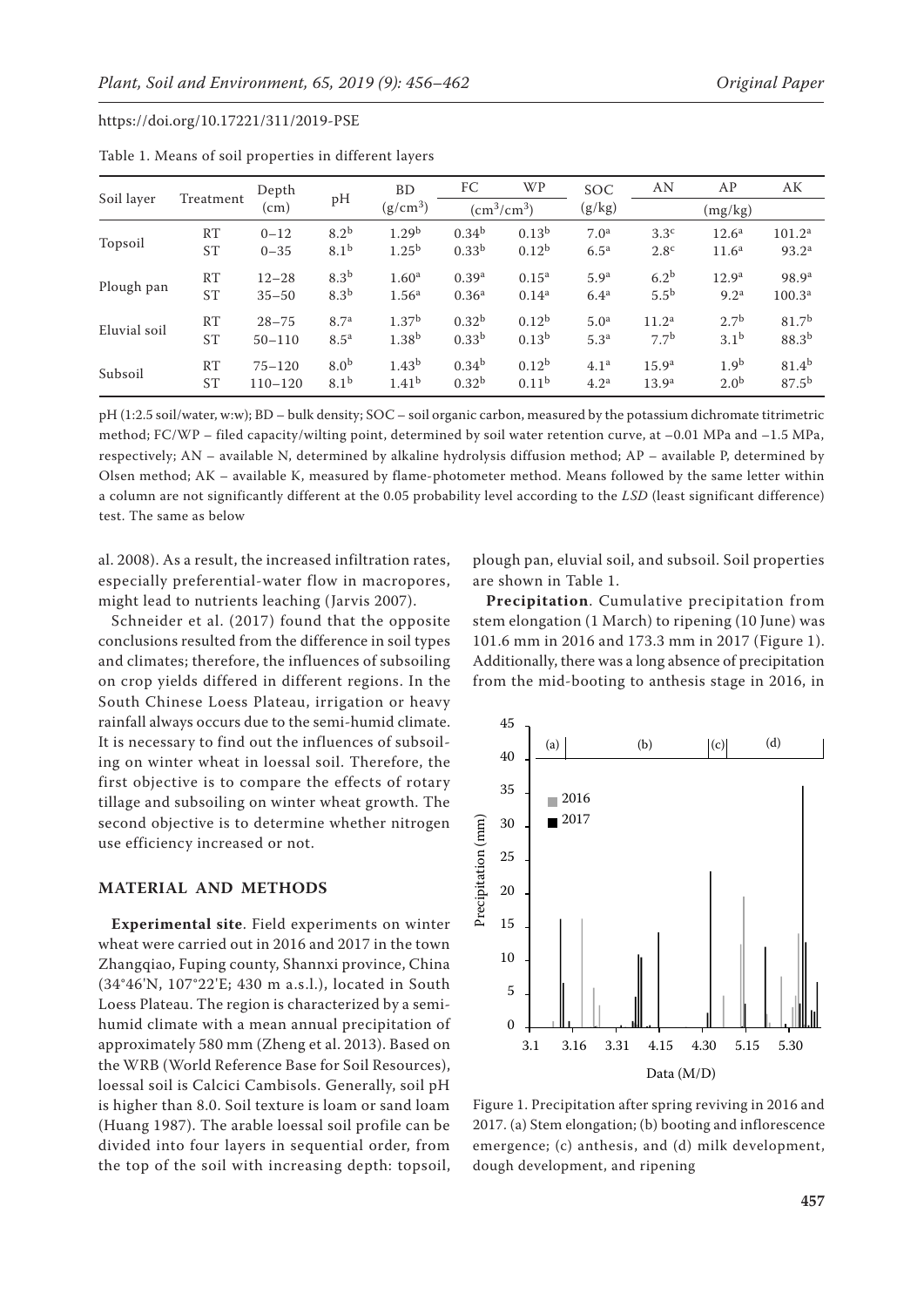| Soil layer   | Treatment | Depth<br>$\text{(cm)}$ |                  | <b>BD</b><br>$(g/cm^3)$ | FC                | <b>WP</b>         | SOC              | AN                | AP                | AК                 |
|--------------|-----------|------------------------|------------------|-------------------------|-------------------|-------------------|------------------|-------------------|-------------------|--------------------|
|              |           |                        | pH               |                         | $\rm (cm^3/cm^3)$ |                   | (g/kg)           |                   | (mg/kg)           |                    |
| Topsoil      | RT        | $0 - 12$               | 8.2 <sup>b</sup> | 1.29 <sup>b</sup>       | 0.34 <sup>b</sup> | 0.13 <sup>b</sup> | 7.0 <sup>a</sup> | 3.3 <sup>c</sup>  | 12.6 <sup>a</sup> | 101.2 <sup>a</sup> |
|              | <b>ST</b> | $0 - 35$               | 8.1 <sup>b</sup> | $1.25^{b}$              | 0.33 <sup>b</sup> | $0.12^{b}$        | 6.5 <sup>a</sup> | 2.8 <sup>c</sup>  | 11.6 <sup>a</sup> | 93.2 <sup>a</sup>  |
| Plough pan   | RT        | $12 - 28$              | 8.3 <sup>b</sup> | 1.60 <sup>a</sup>       | 0.39 <sup>a</sup> | $0.15^{\rm a}$    | 5.9 <sup>a</sup> | 6.2 <sup>b</sup>  | 12.9 <sup>a</sup> | 98.9 <sup>a</sup>  |
|              | <b>ST</b> | $35 - 50$              | 8.3 <sup>b</sup> | 1.56 <sup>a</sup>       | 0.36 <sup>a</sup> | $0.14^{a}$        | 6.4 <sup>a</sup> | 5.5 <sup>b</sup>  | 9.2 <sup>a</sup>  | 100.3 <sup>a</sup> |
| Eluvial soil | RT        | $28 - 75$              | 8.7 <sup>a</sup> | 1.37 <sup>b</sup>       | 0.32 <sup>b</sup> | $0.12^{b}$        | 5.0 <sup>a</sup> | 11.2 <sup>a</sup> | 2.7 <sup>b</sup>  | 81.7 <sup>b</sup>  |
|              | <b>ST</b> | $50 - 110$             | 8.5 <sup>a</sup> | 1.38 <sup>b</sup>       | 0.33 <sup>b</sup> | 0.13 <sup>b</sup> | 5.3 <sup>a</sup> | 7.7 <sup>b</sup>  | 3.1 <sup>b</sup>  | $88.3^{b}$         |
| Subsoil      | RT        | $75 - 120$             | 8.0 <sup>b</sup> | 1.43 <sup>b</sup>       | $0.34^{b}$        | $0.12^{b}$        | 4.1 <sup>a</sup> | 15.9 <sup>a</sup> | 1.9 <sup>b</sup>  | $81.4^{b}$         |
|              | <b>ST</b> | $110 - 120$            | 8.1 <sup>b</sup> | 1.41 <sup>b</sup>       | 0.32 <sup>b</sup> | 0.11 <sup>b</sup> | 4.2 <sup>a</sup> | 13.9 <sup>a</sup> | 2.0 <sup>b</sup>  | $87.5^{b}$         |

Table 1. Means of soil properties in different layers

pH (1:2.5 soil/water, w:w); BD – bulk density; SOC – soil organic carbon, measured by the potassium dichromate titrimetric method; FC/WP – filed capacity/wilting point, determined by soil water retention curve, at –0.01 MPa and –1.5 MPa, respectively; AN – available N, determined by alkaline hydrolysis diffusion method; AP – available P, determined by Olsen method; AK – available K, measured by flame-photometer method. Means followed by the same letter within a column are not significantly different at the 0.05 probability level according to the *LSD* (least significant difference) test. The same as below

al. 2008). As a result, the increased infiltration rates, especially preferential-water flow in macropores, might lead to nutrients leaching (Jarvis 2007).

Schneider et al. (2017) found that the opposite conclusions resulted from the difference in soil types and climates; therefore, the influences of subsoiling on crop yields differed in different regions. In the South Chinese Loess Plateau, irrigation or heavy rainfall always occurs due to the semi-humid climate. It is necessary to find out the influences of subsoiling on winter wheat in loessal soil. Therefore, the first objective is to compare the effects of rotary tillage and subsoiling on winter wheat growth. The second objective is to determine whether nitrogen use efficiency increased or not.

#### **MATERIAL AND METHODS**

**Experimental site**. Field experiments on winter wheat were carried out in 2016 and 2017 in the town Zhangqiao, Fuping county, Shannxi province, China (34°46'N, 107°22'E; 430 m a.s.l.), located in South Loess Plateau. The region is characterized by a semihumid climate with a mean annual precipitation of approximately 580 mm (Zheng et al. 2013). Based on the WRB (World Reference Base for Soil Resources), loessal soil is Calcici Cambisols. Generally, soil pH is higher than 8.0. Soil texture is loam or sand loam (Huang 1987). The arable loessal soil profile can be divided into four layers in sequential order, from the top of the soil with increasing depth: topsoil,

plough pan, eluvial soil, and subsoil. Soil properties are shown in Table 1.

**Precipitation**. Cumulative precipitation from stem elongation (1 March) to ripening (10 June) was 101.6 mm in 2016 and 173.3 mm in 2017 (Figure 1). Additionally, there was a long absence of precipitation from the mid-booting to anthesis stage in 2016, in



Figure 1. Precipitation after spring reviving in 2016 and 2017. (a) Stem elongation; (b) booting and inflorescence emergence; (c) anthesis, and (d) milk development, dough development, and ripening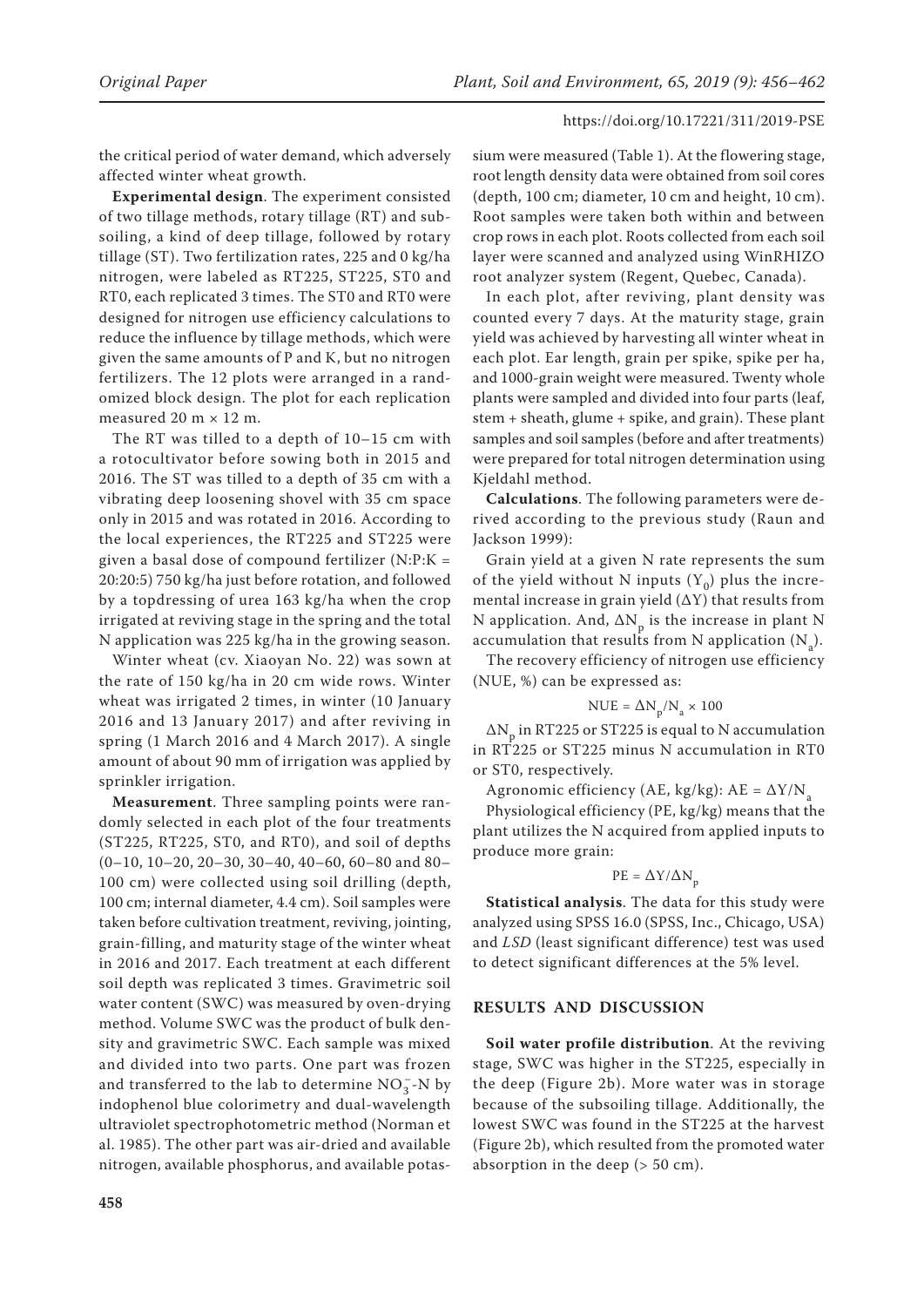the critical period of water demand, which adversely affected winter wheat growth.

**Experimental design**. The experiment consisted of two tillage methods, rotary tillage (RT) and subsoiling, a kind of deep tillage, followed by rotary tillage (ST). Two fertilization rates, 225 and 0 kg/ha nitrogen, were labeled as RT225, ST225, ST0 and RT0, each replicated 3 times. The ST0 and RT0 were designed for nitrogen use efficiency calculations to reduce the influence by tillage methods, which were given the same amounts of P and K, but no nitrogen fertilizers. The 12 plots were arranged in a randomized block design. The plot for each replication measured  $20 \text{ m} \times 12 \text{ m}$ .

The RT was tilled to a depth of 10–15 cm with a rotocultivator before sowing both in 2015 and 2016. The ST was tilled to a depth of 35 cm with a vibrating deep loosening shovel with 35 cm space only in 2015 and was rotated in 2016. According to the local experiences, the RT225 and ST225 were given a basal dose of compound fertilizer (N:P:K = 20:20:5) 750 kg/ha just before rotation, and followed by a topdressing of urea 163 kg/ha when the crop irrigated at reviving stage in the spring and the total N application was 225 kg/ha in the growing season.

Winter wheat (cv. Xiaoyan No. 22) was sown at the rate of 150 kg/ha in 20 cm wide rows. Winter wheat was irrigated 2 times, in winter (10 January 2016 and 13 January 2017) and after reviving in spring (1 March 2016 and 4 March 2017). A single amount of about 90 mm of irrigation was applied by sprinkler irrigation.

**Measurement**. Three sampling points were randomly selected in each plot of the four treatments (ST225, RT225, ST0, and RT0), and soil of depths (0–10, 10–20, 20–30, 30–40, 40–60, 60–80 and 80– 100 cm) were collected using soil drilling (depth, 100 cm; internal diameter, 4.4 cm). Soil samples were taken before cultivation treatment, reviving, jointing, grain-filling, and maturity stage of the winter wheat in 2016 and 2017. Each treatment at each different soil depth was replicated 3 times. Gravimetric soil water content (SWC) was measured by oven-drying method. Volume SWC was the product of bulk density and gravimetric SWC. Each sample was mixed and divided into two parts. One part was frozen and transferred to the lab to determine  $NO_3^-$ -N by indophenol blue colorimetry and dual-wavelength ultraviolet spectrophotometric method (Norman et al. 1985). The other part was air-dried and available nitrogen, available phosphorus, and available potas-

sium were measured (Table 1). At the flowering stage, root length density data were obtained from soil cores (depth, 100 cm; diameter, 10 cm and height, 10 cm). Root samples were taken both within and between crop rows in each plot. Roots collected from each soil layer were scanned and analyzed using WinRHIZO root analyzer system (Regent, Quebec, Canada).

In each plot, after reviving, plant density was counted every 7 days. At the maturity stage, grain yield was achieved by harvesting all winter wheat in each plot. Ear length, grain per spike, spike per ha, and 1000-grain weight were measured. Twenty whole plants were sampled and divided into four parts (leaf, stem + sheath, glume + spike, and grain). These plant samples and soil samples (before and after treatments) were prepared for total nitrogen determination using Kjeldahl method.

**Calculations**. The following parameters were derived according to the previous study (Raun and Jackson 1999):

Grain yield at a given N rate represents the sum of the yield without N inputs  $(Y_0)$  plus the incremental increase in grain yield  $(\Delta Y)$  that results from N application. And,  $\Delta N_p$  is the increase in plant N accumulation that results from N application  $(N_a)$ .

The recovery efficiency of nitrogen use efficiency (NUE, %) can be expressed as:

$$
\text{NUE} = \Delta \text{N}_\text{p}/\text{N}_\text{a} \times 100
$$

 $\Delta{\rm N}_{_{\rm P}}$  in RT225 or ST225 is equal to N accumulation in RT225 or ST225 minus N accumulation in RT0 or ST0, respectively.

Agronomic efficiency (AE, kg/kg):  $AE = \Delta Y/N_a$ 

Physiological efficiency (PE, kg/kg) means that the plant utilizes the N acquired from applied inputs to produce more grain:

$$
\text{PE} = \Delta \text{Y}/\Delta \text{N}_{\text{p}}
$$

**Statistical analysis**. The data for this study were analyzed using SPSS 16.0 (SPSS, Inc., Chicago, USA) and *LSD* (least significant difference) test was used to detect significant differences at the 5% level.

## **RESULTS AND DISCUSSION**

**Soil water profile distribution**. At the reviving stage, SWC was higher in the ST225, especially in the deep (Figure 2b). More water was in storage because of the subsoiling tillage. Additionally, the lowest SWC was found in the ST225 at the harvest (Figure 2b), which resulted from the promoted water absorption in the deep (> 50 cm).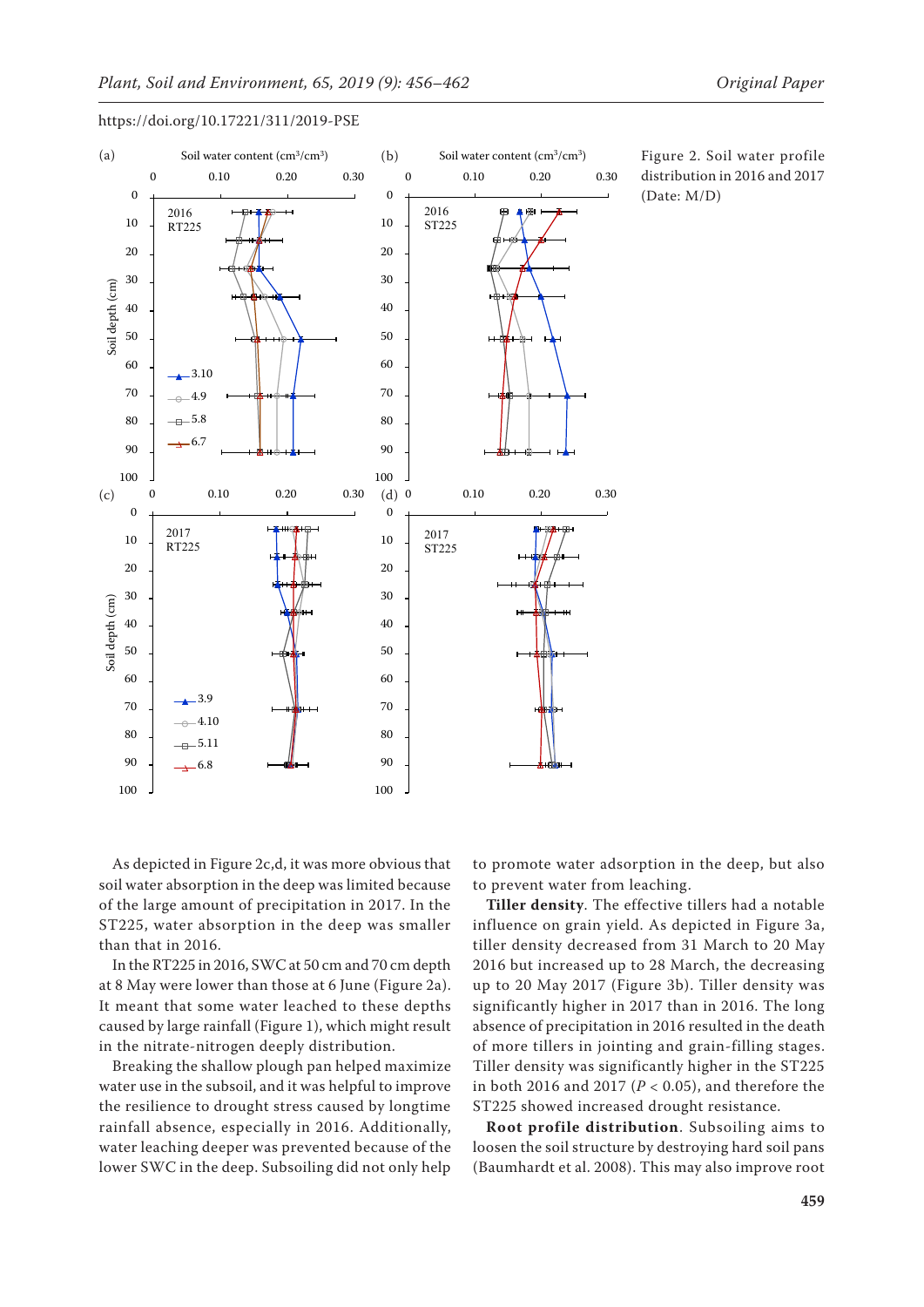

Figure 2. Soil water profile distribution in 2016 and 2017 (Date: M/D)

As depicted in Figure 2c,d, it was more obvious that soil water absorption in the deep was limited because of the large amount of precipitation in 2017. In the ST225, water absorption in the deep was smaller than that in 2016.

In the RT225 in 2016, SWC at 50 cm and 70 cm depth at 8 May were lower than those at 6 June (Figure 2a). It meant that some water leached to these depths caused by large rainfall (Figure 1), which might result in the nitrate-nitrogen deeply distribution.

Breaking the shallow plough pan helped maximize water use in the subsoil, and it was helpful to improve the resilience to drought stress caused by longtime rainfall absence, especially in 2016. Additionally, water leaching deeper was prevented because of the lower SWC in the deep. Subsoiling did not only help to promote water adsorption in the deep, but also to prevent water from leaching.

**Tiller density**. The effective tillers had a notable influence on grain yield. As depicted in Figure 3a, tiller density decreased from 31 March to 20 May 2016 but increased up to 28 March, the decreasing up to 20 May 2017 (Figure 3b). Tiller density was significantly higher in 2017 than in 2016. The long absence of precipitation in 2016 resulted in the death of more tillers in jointing and grain-filling stages. Tiller density was significantly higher in the ST225 in both 2016 and 2017 (*P* < 0.05), and therefore the ST225 showed increased drought resistance.

**Root profile distribution**. Subsoiling aims to loosen the soil structure by destroying hard soil pans (Baumhardt et al. 2008). This may also improve root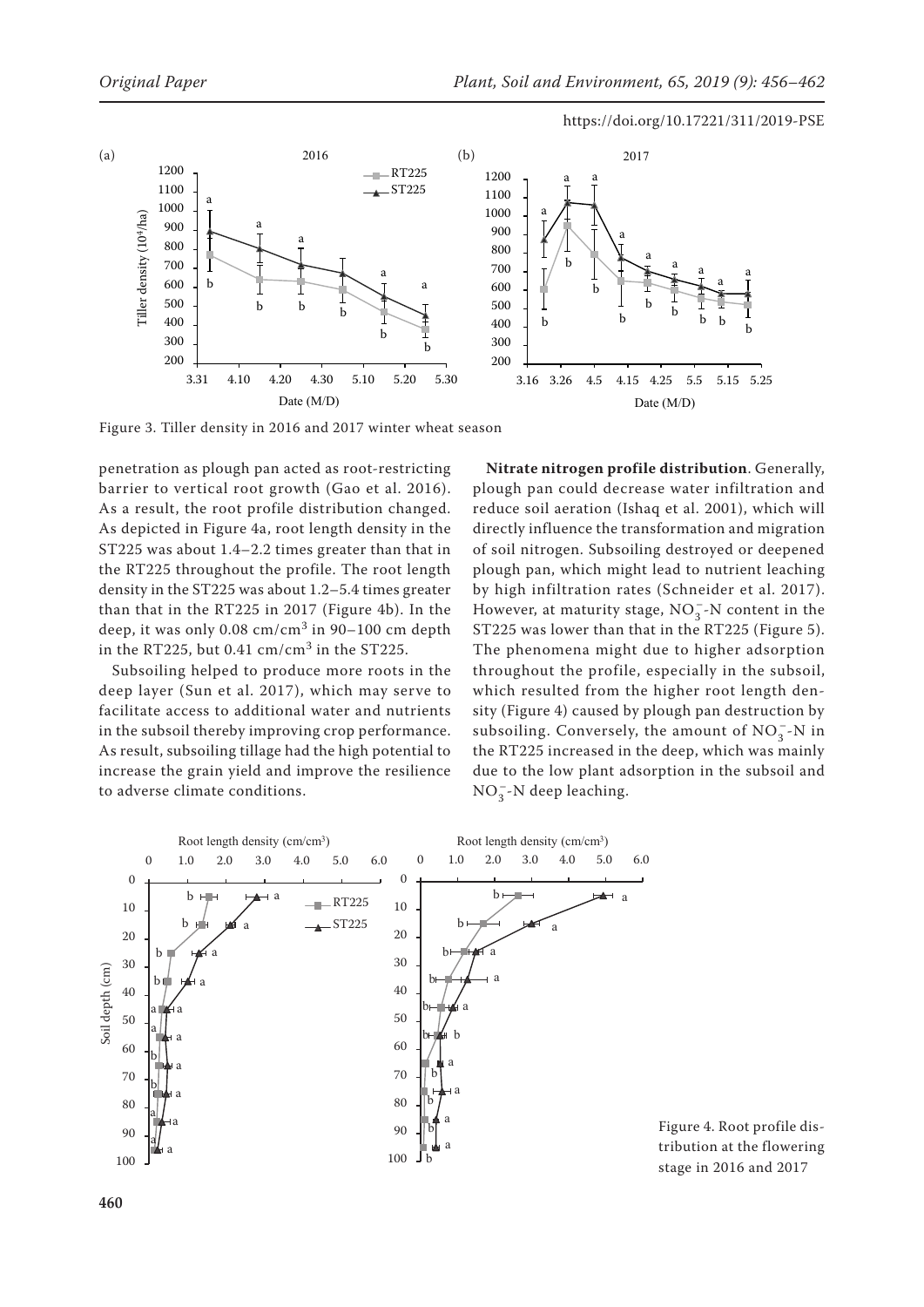

Figure 3. Tiller density in 2016 and 2017 winter wheat season

penetration as plough pan acted as root-restricting barrier to vertical root growth (Gao et al. 2016). As a result, the root profile distribution changed. As depicted in Figure 4a, root length density in the ST225 was about 1.4–2.2 times greater than that in the RT225 throughout the profile. The root length density in the ST225 was about 1.2–5.4 times greater than that in the RT225 in 2017 (Figure 4b). In the deep, it was only  $0.08 \text{ cm/cm}^3$  in  $90-100 \text{ cm}$  depth in the RT225, but 0.41  $cm/cm<sup>3</sup>$  in the ST225.

Subsoiling helped to produce more roots in the deep layer (Sun et al. 2017), which may serve to facilitate access to additional water and nutrients in the subsoil thereby improving crop performance. As result, subsoiling tillage had the high potential to increase the grain yield and improve the resilience to adverse climate conditions.

**Nitrate nitrogen profile distribution**. Generally, plough pan could decrease water infiltration and reduce soil aeration (Ishaq et al. 2001), which will directly influence the transformation and migration of soil nitrogen. Subsoiling destroyed or deepened plough pan, which might lead to nutrient leaching by high infiltration rates (Schneider et al. 2017). However, at maturity stage,  $NO_3^-$ -N content in the ST225 was lower than that in the RT225 (Figure 5). The phenomena might due to higher adsorption throughout the profile, especially in the subsoil, which resulted from the higher root length density (Figure 4) caused by plough pan destruction by subsoiling. Conversely, the amount of  $NO_3^-$ -N in the RT225 increased in the deep, which was mainly due to the low plant adsorption in the subsoil and  $NO_3^-$ -N deep leaching.



Figure 4. Root profile distribution at the flowering stage in 2016 and 2017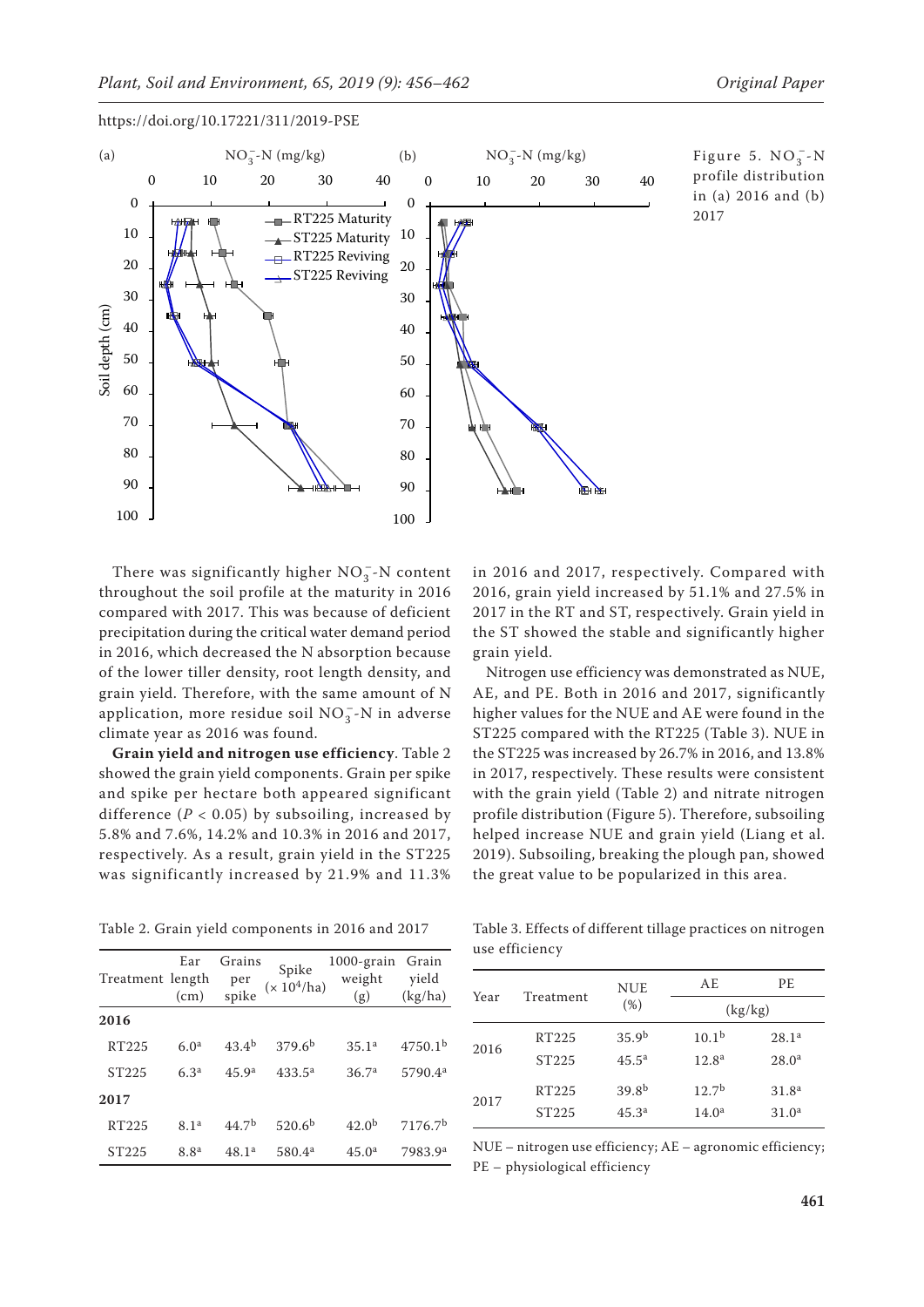

Figure 5.  $NO_3^-$ -N profile distribution in (a) 2016 and (b) 2017

There was significantly higher  $NO_3^-$ -N content throughout the soil profile at the maturity in 2016 compared with 2017. This was because of deficient precipitation during the critical water demand period in 2016, which decreased the N absorption because of the lower tiller density, root length density, and grain yield. Therefore, with the same amount of N application, more residue soil  $NO_3^-$ -N in adverse climate year as 2016 was found.

**Grain yield and nitrogen use efficiency**. Table 2 showed the grain yield components. Grain per spike and spike per hectare both appeared significant difference  $(P < 0.05)$  by subsoiling, increased by 5.8% and 7.6%, 14.2% and 10.3% in 2016 and 2017, respectively. As a result, grain yield in the ST225 was significantly increased by 21.9% and 11.3% in 2016 and 2017, respectively. Compared with 2016, grain yield increased by 51.1% and 27.5% in 2017 in the RT and ST, respectively. Grain yield in the ST showed the stable and significantly higher grain yield.

Nitrogen use efficiency was demonstrated as NUE, AE, and PE. Both in 2016 and 2017, significantly higher values for the NUE and AE were found in the ST225 compared with the RT225 (Table 3). NUE in the ST225 was increased by 26.7% in 2016, and 13.8% in 2017, respectively. These results were consistent with the grain yield (Table 2) and nitrate nitrogen profile distribution (Figure 5). Therefore, subsoiling helped increase NUE and grain yield (Liang et al. 2019). Subsoiling, breaking the plough pan, showed the great value to be popularized in this area.

Table 2. Grain yield components in 2016 and 2017

| Treatment length  | Ear<br>(cm)      | Grains<br>per<br>spike | Spike<br>$(\times\,10^4/\mathrm{ha})$ | 1000-grain<br>weight<br>(g) | Grain<br>yield<br>(kg/ha) |
|-------------------|------------------|------------------------|---------------------------------------|-----------------------------|---------------------------|
| 2016              |                  |                        |                                       |                             |                           |
| RT225             | 6.0 <sup>a</sup> | $43.4^{b}$             | 379.6 <sup>b</sup>                    | 35.1 <sup>a</sup>           | 4750.1 <sup>b</sup>       |
| ST <sub>225</sub> | 6.3 <sup>a</sup> | 45.9 <sup>a</sup>      | $433.5^{\rm a}$                       | 36.7 <sup>a</sup>           | 5790.4 <sup>a</sup>       |
| 2017              |                  |                        |                                       |                             |                           |
| RT225             | 8.1 <sup>a</sup> | 44.7 <sup>b</sup>      | 520.6 <sup>b</sup>                    | 42.0 <sup>b</sup>           | 7176.7 <sup>b</sup>       |
| ST225             | 8.8 <sup>a</sup> | 48.1 <sup>a</sup>      | 580.4 <sup>a</sup>                    | 45.0 <sup>a</sup>           | 7983.9 <sup>a</sup>       |

Table 3. Effects of different tillage practices on nitrogen use efficiency

| Year |                   | <b>NUE</b>        | AE.               | PE.               |
|------|-------------------|-------------------|-------------------|-------------------|
|      | Treatment         | (%)               | (kg/kg)           |                   |
| 2016 | RT225             | 35.9 <sup>b</sup> | 10.1 <sup>b</sup> | 28.1 <sup>a</sup> |
|      | ST <sub>225</sub> | $45.5^{\rm a}$    | 12.8 <sup>a</sup> | 28.0 <sup>a</sup> |
| 2017 | RT225             | 39.8 <sup>b</sup> | 12.7 <sup>b</sup> | 31.8 <sup>a</sup> |
|      | ST <sub>225</sub> | 45.3 <sup>a</sup> | 14.0 <sup>a</sup> | 31.0 <sup>a</sup> |

NUE – nitrogen use efficiency; AE – agronomic efficiency; PE – physiological efficiency